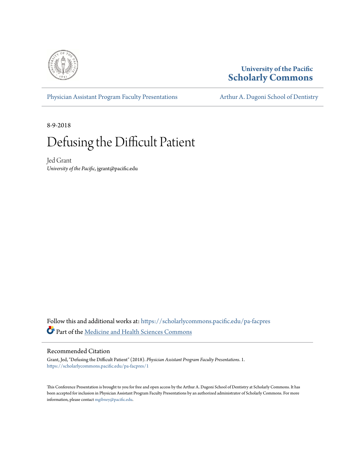

# **University of the Pacific [Scholarly Commons](https://scholarlycommons.pacific.edu?utm_source=scholarlycommons.pacific.edu%2Fpa-facpres%2F1&utm_medium=PDF&utm_campaign=PDFCoverPages)**

[Physician Assistant Program Faculty Presentations](https://scholarlycommons.pacific.edu/pa-facpres?utm_source=scholarlycommons.pacific.edu%2Fpa-facpres%2F1&utm_medium=PDF&utm_campaign=PDFCoverPages) [Arthur A. Dugoni School of Dentistry](https://scholarlycommons.pacific.edu/dugoni?utm_source=scholarlycommons.pacific.edu%2Fpa-facpres%2F1&utm_medium=PDF&utm_campaign=PDFCoverPages)

8-9-2018

# Defusing the Difficult Patient

Jed Grant *University of the Pacific*, jgrant@pacific.edu

Follow this and additional works at: [https://scholarlycommons.pacific.edu/pa-facpres](https://scholarlycommons.pacific.edu/pa-facpres?utm_source=scholarlycommons.pacific.edu%2Fpa-facpres%2F1&utm_medium=PDF&utm_campaign=PDFCoverPages) Part of the [Medicine and Health Sciences Commons](http://network.bepress.com/hgg/discipline/648?utm_source=scholarlycommons.pacific.edu%2Fpa-facpres%2F1&utm_medium=PDF&utm_campaign=PDFCoverPages)

# Recommended Citation

Grant, Jed, "Defusing the Difficult Patient" (2018). *Physician Assistant Program Faculty Presentations*. 1. [https://scholarlycommons.pacific.edu/pa-facpres/1](https://scholarlycommons.pacific.edu/pa-facpres/1?utm_source=scholarlycommons.pacific.edu%2Fpa-facpres%2F1&utm_medium=PDF&utm_campaign=PDFCoverPages)

This Conference Presentation is brought to you for free and open access by the Arthur A. Dugoni School of Dentistry at Scholarly Commons. It has been accepted for inclusion in Physician Assistant Program Faculty Presentations by an authorized administrator of Scholarly Commons. For more information, please contact [mgibney@pacific.edu.](mailto:mgibney@pacific.edu)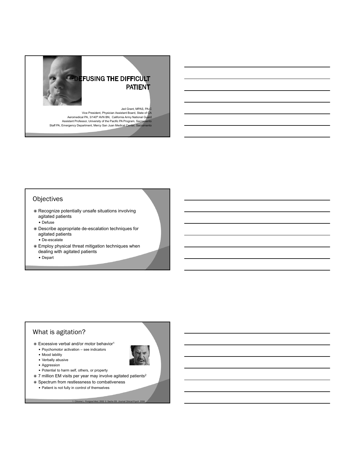

# **Objectives**

- Recognize potentially unsafe situations involving agitated patients
	- Defuse
- Describe appropriate de-escalation techniques for agitated patients
	- De-escalate
- Employ physical threat mitigation techniques when dealing with agitated patients
	- Depart

# What is agitation?

- $\odot$  Excessive verbal and/or motor behavior<sup>1</sup>
	- Psychomotor activation see indicators
	- Mood lability • Verbally abusive
	-
	- Aggression
	- Potential to harm self, others, or property
- 7 million EM visits per year may involve agitated patients2

1. Citrome L. *Postgrad Med*, 2002 2. Sachs GS. *Journal Clinical Psych*. 2006

 $\circ$  Spectrum from restlessness to combativeness Patient is not fully in control of themselves

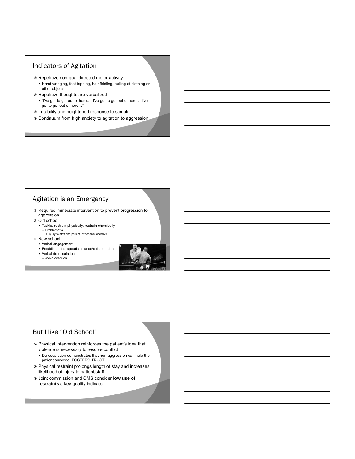# Indicators of Agitation

- Repetitive non-goal directed motor activity
	- Hand wringing, foot tapping, hair fiddling, pulling at clothing or other objects
- Repetitive thoughts are verbalized
	- "I've got to get out of here… I've got to get out of here… I've got to get out of here…"
- $\circ$  Irritability and heightened response to stimuli
- Continuum from high anxiety to agitation to aggression

# Agitation is an Emergency

- Requires immediate intervention to prevent progression to aggression
- Old school
- Tackle, restrain physically, restrain chemically ○ Problematic
	- Injury to staff and patient, expensive, coercive
- New school
	- Verbal engagement
	- Establish a therapeutic alliance/collaboration
	- Verbal de-escalation
	- Avoid coercion



# But I like "Old School"

- Physical intervention reinforces the patient's idea that violence is necessary to resolve conflict
	- De-escalation demonstrates that non-aggression can help the patient succeed. FOSTERS TRUST
- Physical restraint prolongs length of stay and increases likelihood of injury to patient/staff
- Joint commission and CMS consider **low use of restraints** a key quality indicator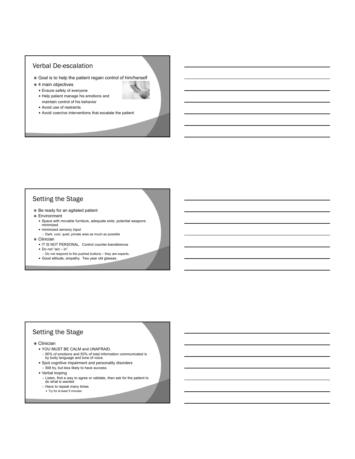#### Verbal De-escalation

- Goal is to help the patient regain control of him/herself
- $\odot$  4 main objectives
	- Ensure safety of everyone
	- Help patient manage his emotions and maintain control of his behavior
	- Avoid use of restraints
	- Avoid coercive interventions that escalate the patient

# Setting the Stage

- $\bullet$  Be ready for an agitated patient
- Environment
	- Space with movable furniture, adequate exits, potential weapons minimized
	- minimized sensory input
	- Dark, cool, quiet, private area as much as possible
- Clinician
	- IT IS NOT PERSONAL. Control counter-transference
	- Do not "act in"
	- Do not respond to the pushed buttons they are experts.
	- Good attitude, empathy. Two year old glasses.

# Setting the Stage

#### Clinician

- YOU MUST BE CALM and UNAFRAID. ○ 90% of emotions and 50% of total information communicated is by body language and tone of voice.
- Spot cognitive impairment and personality disorders
- Still try, but less likely to have success
- Verbal looping
	- Listen, find a way to agree or validate, then ask for the patient to do what is wanted
	- Have to repeat many times
	- Try for at least 5 minutes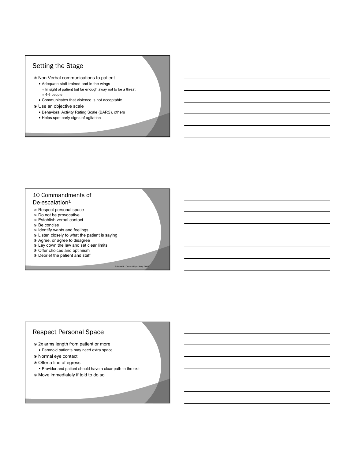# Setting the Stage

- Non Verbal communications to patient
	- Adequate staff trained and in the wings
	- In sight of patient but far enough away not to be a threat ○ 4-6 people
	- Communicates that violence is not acceptable
- Use an objective scale
	- Behavioral Activity Rating Scale (BARS), others
	- Helps spot early signs of agitation

#### 10 Commandments of De-escalation $1$

- Respect personal space
- Do not be provocative
- Establish verbal contact
- Be concise
- $\odot$  Identify wants and feelings
- Listen closely to what the patient is saying

1. Fishkind A. Current Psy

- Agree, or agree to disagree
- Lay down the law and set clear limits
- Offer choices and optimism
- Debrief the patient and staff

# Respect Personal Space

- 2x arms length from patient or more
- Paranoid patients may need extra space
- Normal eye contact
- Offer a line of egress
- Provider and patient should have a clear path to the exit
- Move immediately if told to do so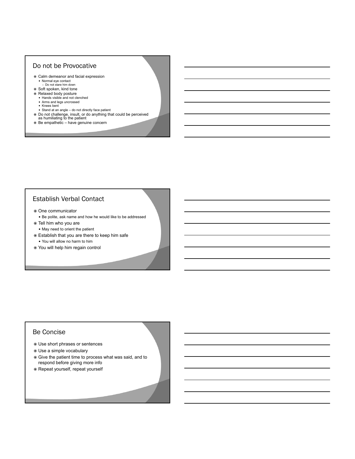#### Do not be Provocative

- Calm demeanor and facial expression Normal eye contact ○ Do not stare him down
- Soft spoken, kind tone
- 
- Relaxed body posture Hands visible and not clenched
	- Arms and legs uncrossed
	- Knees bent
	- Stand at an angle do not directly face patient
- Do not challenge, insult, or do anything that could be perceived as humiliating to the patient
- Be empathetic have genuine concern

# Establish Verbal Contact

- One communicator
	- Be polite, ask name and how he would like to be addressed
- Tell him who you are
- May need to orient the patient
- Establish that you are there to keep him safe You will allow no harm to him
- You will help him regain control

# Be Concise

- Use short phrases or sentences
- Use a simple vocabulary
- Give the patient time to process what was said, and to respond before giving more info
- Repeat yourself, repeat yourself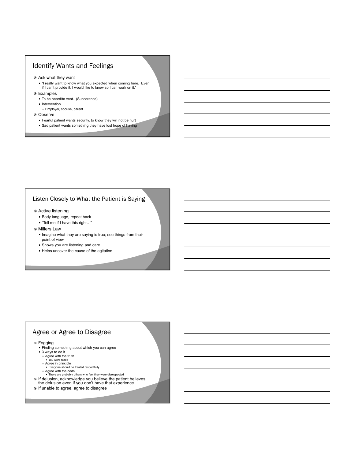# Identify Wants and Feelings

- Ask what they want
	- "I really want to know what you expected when coming here. Even if I can't provide it, I would like to know so I can work on it."
- Examples
	- To be heard/to vent. (Succorance)
	- Intervention
	- Employer, spouse, parent
- Observe
	- Fearful patient wants security, to know they will not be hurt Sad patient wants something they have lost hope of having

#### Listen Closely to What the Patient is Saying

- Active listening
	- Body language, repeat back
	- "Tell me if I have this right…"
- Millers Law
	- Imagine what they are saying is true; see things from their point of view
	- Shows you are listening and care
	- Helps uncover the cause of the agitation

# Agree or Agree to Disagree

#### Fogging

- Finding something about which you can agree
- 3 ways to do it
	- Agree with the truth You were tazed
	-
	-
- Agree in principle<br>● Everyone should be treated respectfully<br>○ Agree with the odds<br>● There are probably others who feel they were disrespected
- $\circ$  If delusion, acknowledge you believe the patient believes
- the delusion even if you don't have that experience
- $\circ$  If unable to agree, agree to disagree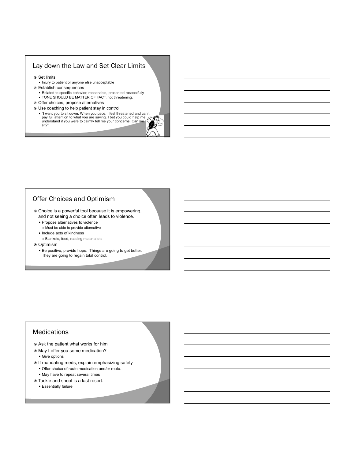# Lay down the Law and Set Clear Limits

- Set limits
	- Injury to patient or anyone else unacceptable
- Establish consequences
	- Related to specific behavior, reasonable, presented respectfully
	- TONE SHOULD BE MATTER OF FACT, not threatening.
- Offer choices, propose alternatives
- Use coaching to help patient stay in control
	- "I want you to sit down. When you pace, I feel threatened and can't pay full attention to what you are saying. I bet you could help me understand if you were to calmly tell me your concerns. Can we sit?"

# Offer Choices and Optimism

- Choice is a powerful tool because it is empowering, and not seeing a choice often leads to violence.
	- Propose alternatives to violence
	- Must be able to provide alternative
	- Include acts of kindness
	- Blankets, food, reading material etc
- <sup>●</sup> Optimism
	- Be positive, provide hope. Things are going to get better. They are going to regain total control.

### **Medications**

- Ask the patient what works for him
- May I offer you some medication?
	- Give options
- $\odot$  If mandating meds, explain emphasizing safety Offer choice of route medication and/or route.
	- May have to repeat several times
- Tackle and shoot is a last resort.
	- Essentially failure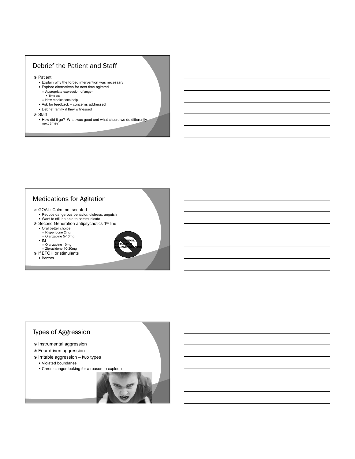# Debrief the Patient and Staff

- Patient
	- Explain why the forced intervention was necessary
	- Explore alternatives for next time agitated ○ Appropriate expression of anger
	-
	- Time out<br>○ How medications help
	- Ask for feedback concerns addressed
	- Debrief family if they witnessed
- Staff
	- How did it go? What was good and what should we do differently next time?

# Medications for Agitation

- GOAL: Calm, not sedated
- Reduce dangerous behavior, distress, anguish Want to still be able to communicate
- Second Generation antipsychotics 1<sup>st</sup> line
	- Oral better choice
	- Risperidone 2mg
	- Olanzapine 5-10mg  $\bullet$  IM
		-
	-
- Olanzapine 10mg Ziprasidone 10-20mg If ETOH or stimulants
	- Benzos



# Types of Aggression

- $\odot$  Instrumental aggression
- Fear driven aggression
- $\circ$  Irritable aggression two types
	- Violated boundaries
	- Chronic anger looking for a reason to explode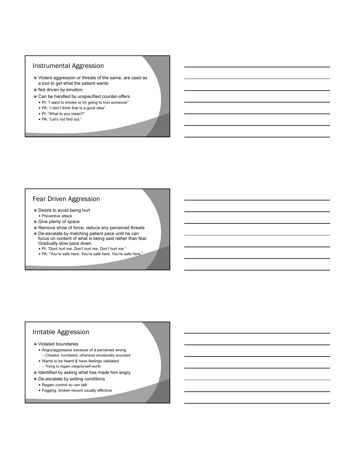#### Instrumental Aggression

- Violent aggression or threats of the same, are used as a tool to get what the patient wants
- Not driven by emotion
- Can be handled by unspecified counter-offers
	- Pt: "I want to smoke or Im going to hurt someone"
	- PA: "I don't think that is a good idea"
	- Pt: "What to you mean?"
	- PA: "Let's not find out."

#### Fear Driven Aggression

- Desire to avoid being hurt • Preventive attack
- Give plenty of space
- $\odot$  Remove show of force, reduce any perceived threats
- De-escalate by matching patient pace until he can focus on content of what is being said rather than fear. Gradually slow pace down.
	- Pt: "Dont hurt me. Don't hurt me. Don't hurt me."
	- PA: "You're safe here. You're safe here. You're safe here."

# Irritable Aggression

#### Violated boundaries

- Angry/aggressive because of a perceived wrong
- Cheated, humiliated, otherwise emotionally wounded
- Wants to be heard & have feelings validated
- Trying to regain integrity/self-worth
- $\odot$  Identified by asking what has made him angry
- De-escalate by setting conditions
	- Regain control so can talk
	- Fogging, broken-record usually effective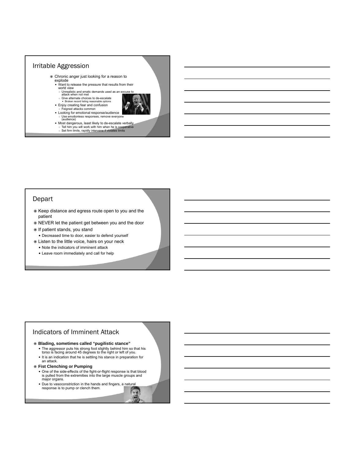

○ Tell him you will work with him when he is cooperative<br>○ Set firm limits, rapidly intervene if violates limits

# Depart

- $\bullet$  Keep distance and egress route open to you and the patient
- NEVER let the patient get between you and the door
- $\circ$  If patient stands, you stand
- Decreased time to door, easier to defend yourself
- Listen to the little voice, hairs on your neck
	- Note the indicators of imminent attack
	- Leave room immediately and call for help

# Indicators of Imminent Attack

#### **Blading, sometimes called "pugilistic stance"**

- The aggressor puts his strong foot slightly behind him so that his torso is facing around 45 degrees to the right or left of you.
- It is an indication that he is settling his stance in preparation for an attack.
- **Fist Clenching or Pumping**
	- One of the side-effects of the fight-or-flight response is that blood is pulled from the extremities into the large muscle groups and major organs.
	- Due to vasoconstriction in the hands and fingers, a natural response is to pump or clench them.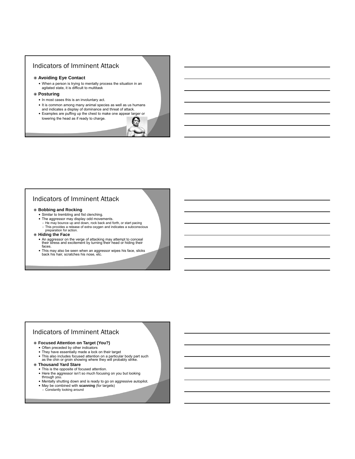# Indicators of Imminent Attack

#### **Avoiding Eye Contact**

When a person is trying to mentally process the situation in an agitated state, it is difficult to multitask

#### **Posturing**

- In most cases this is an involuntary act.
- It is common among many animal species as well as us humans and indicates a display of dominance and threat of attack.
- Examples are puffing up the chest to make one appear larger or lowering the head as if ready to charge.

# Indicators of Imminent Attack

# **Bobbing and Rocking**<br>
Similar to trembling and fist clenching.

- 
- The aggressor may display odd movements.
	- He may bounce up and down, rock back and forth, or start pacing ○ This provides a release of extra oxygen and indicates a subconscious preparation for action.
- **Hiding the Face**
	- An aggressor on the verge of attacking may attempt to conceal<br>their stress and excitement by turning their head or hiding their<br>faces.
	- This may also be seen when an aggressor wipes his face, slicks back his hair, scratches his nose, etc.

# Indicators of Imminent Attack

#### **Focused Attention on Target (You?)**

- Often preceded by other indicators
- They have essentially made a lock on their target
- This also includes focused attention on a particular body part such as the chin or groin showing where they will probably strike.

#### **Thousand Yard Stare**

- This is the opposite of focused attention.
- Here the aggressor isn't so much focusing on you but looking
- through you.
- Mentally shutting down and is ready to go on aggressive autopilot.
- May be combined with **scanning** (for targets)
- Constantly looking around